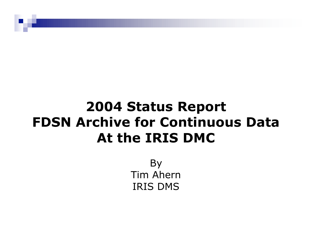## **2004 Status Report FDSN Archive for Continuous Data At the IRIS DMC**

By Tim Ahern IRIS DMS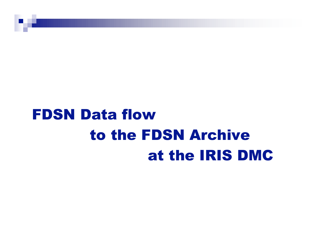# FDSN Data flow to the FDSN Archive at the IRIS DMC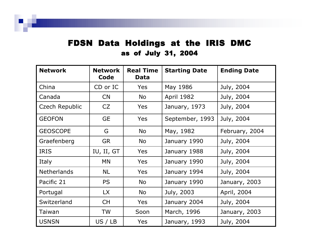### FDSN Data Holdings at the IRIS DMC as of July 31, 2004

| <b>Network</b>     | <b>Network</b><br>Code | <b>Real Time</b><br><b>Data</b> | <b>Starting Date</b> | <b>Ending Date</b> |
|--------------------|------------------------|---------------------------------|----------------------|--------------------|
| China              | CD or IC               | <b>Yes</b>                      | May 1986             | July, 2004         |
| Canada             | CN                     | No                              | <b>April 1982</b>    | July, 2004         |
| Czech Republic     | CZ                     | <b>Yes</b>                      | January, 1973        | July, 2004         |
| <b>GEOFON</b>      | <b>GE</b>              | <b>Yes</b>                      | September, 1993      | July, 2004         |
| <b>GEOSCOPE</b>    | G                      | No                              | May, 1982            | February, 2004     |
| Graefenberg        | <b>GR</b>              | No                              | January 1990         | July, 2004         |
| <b>IRIS</b>        | IU, II, GT             | Yes                             | January 1988         | July, 2004         |
| Italy              | MN                     | Yes                             | January 1990         | July, 2004         |
| <b>Netherlands</b> | <b>NL</b>              | <b>Yes</b>                      | January 1994         | July, 2004         |
| Pacific 21         | <b>PS</b>              | No                              | January 1990         | January, 2003      |
| Portugal           | LX                     | No                              | July, 2003           | April, 2004        |
| Switzerland        | <b>CH</b>              | <b>Yes</b>                      | January 2004         | July, 2004         |
| Taiwan             | <b>TW</b>              | Soon                            | March, 1996          | January, 2003      |
| <b>USNSN</b>       | US / LB                | Yes                             | January, 1993        | July, 2004         |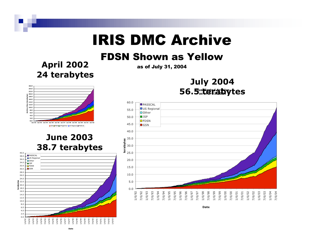## IRIS DMC Archive

### FDSN Shown as Yellow

**April 2002 24 terabytes**

as of July 31, 2004

### **July 2004 56.5 terabytes**



### **June 2003 38.7 terabytes**





Date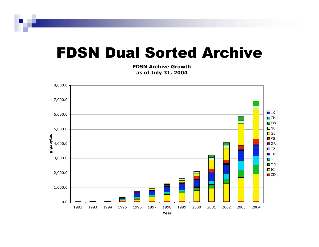## FDSN Dual Sorted Archive

**FDSN Archive Growth as of July 31, 2004**

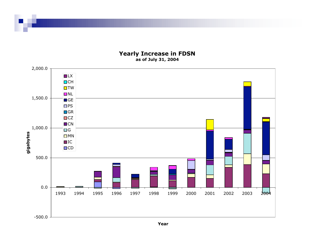#### **Yearly Increase in FDSN as of July 31, 2004**



**Year**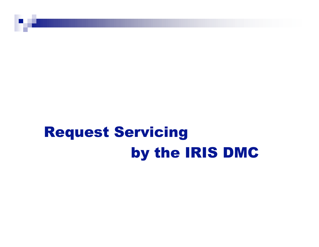# Request Servicing by the IRIS DMC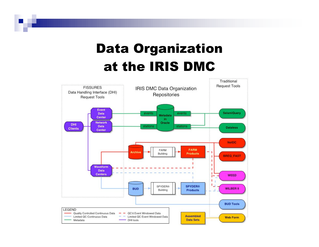## Data Organization at the IRIS DMC

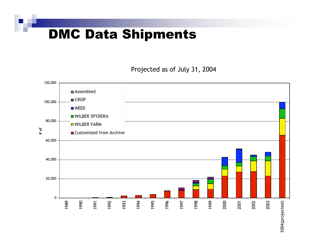### DMC Data Shipments

Projected as of July 31, 2004

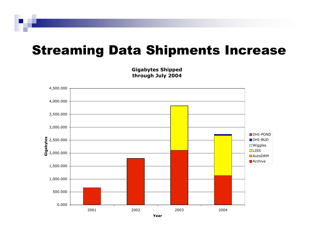### Streaming Data Shipments Increase



**Gigabytes Shipped through July 2004**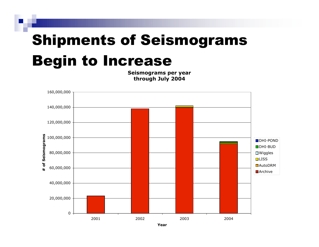# Shipments of Seismograms Begin to Increase

**Seismograms per year through July 2004**

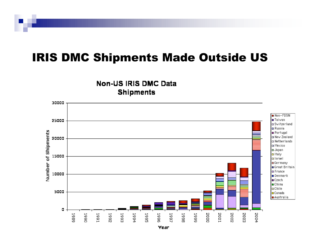### IRIS DMC Shipments Made Outside US